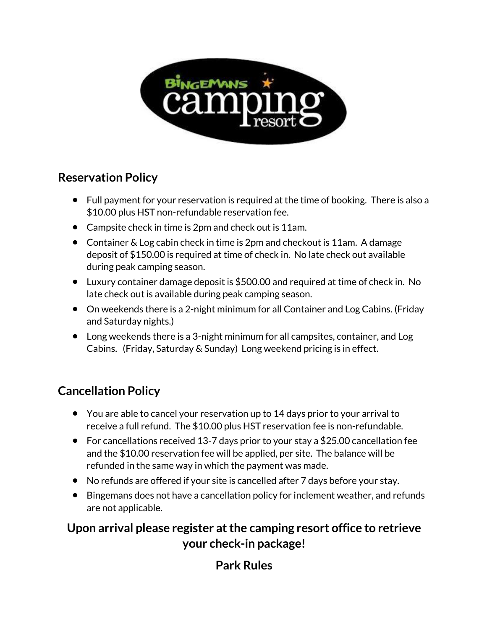

## **Reservation Policy**

- Full payment for your reservation is required at the time of booking. There is also a \$10.00 plus HST non-refundable reservation fee.
- Campsite check in time is 2pm and check out is 11am.
- Container & Log cabin check in time is 2pm and checkout is 11am. A damage deposit of \$150.00 is required at time of check in. No late check out available during peak camping season.
- Luxury container damage deposit is \$500.00 and required at time of check in. No late check out is available during peak camping season.
- On weekends there is a 2-night minimum for all Container and Log Cabins. (Friday and Saturday nights.)
- Long weekends there is a 3-night minimum for all campsites, container, and Log Cabins. (Friday, Saturday & Sunday) Long weekend pricing is in effect.

## **Cancellation Policy**

- You are able to cancel your reservation up to 14 days prior to your arrival to receive a full refund. The \$10.00 plus HST reservation fee is non-refundable.
- For cancellations received 13-7 days prior to your stay a \$25.00 cancellation fee and the \$10.00 reservation fee will be applied, per site. The balance will be refunded in the same way in which the payment was made.
- No refunds are offered if your site is cancelled after 7 days before your stay.
- Bingemans does not have a cancellation policy for inclement weather, and refunds are not applicable.

## **Upon arrival please register at the camping resort office to retrieve your check-in package!**

## **Park Rules**